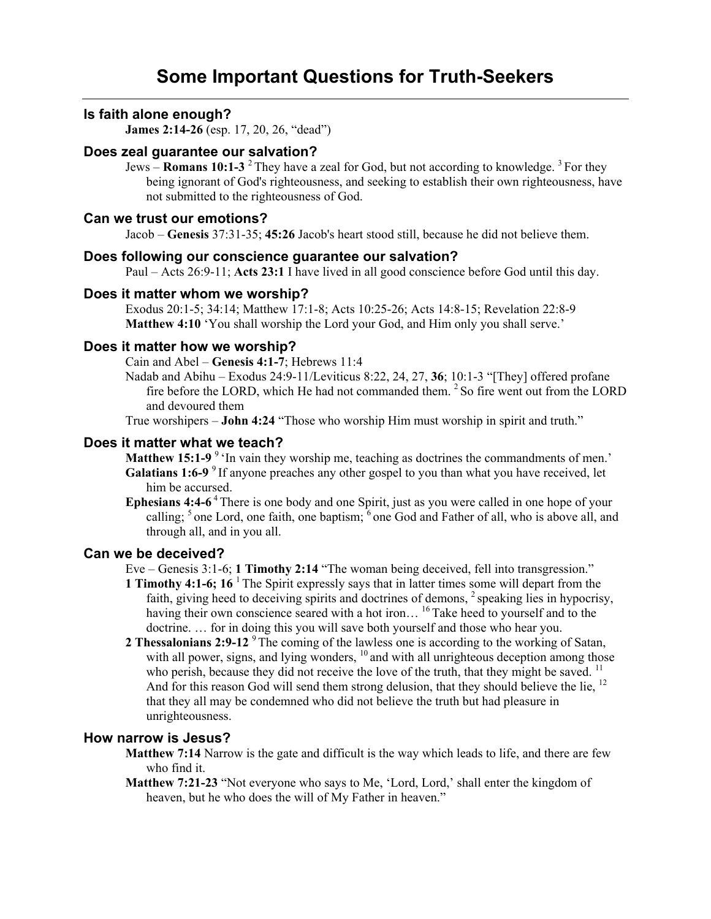# **Is faith alone enough?**

**James 2:14-26** (esp. 17, 20, 26, "dead")

## **Does zeal guarantee our salvation?**

Jews – **Romans 10:1-3** 2 They have a zeal for God, but not according to knowledge. 3 For they being ignorant of God's righteousness, and seeking to establish their own righteousness, have not submitted to the righteousness of God.

### **Can we trust our emotions?**

Jacob – **Genesis** 37:31-35; **45:26** Jacob's heart stood still, because he did not believe them.

## **Does following our conscience guarantee our salvation?**

Paul – Acts 26:9-11; **Acts 23:1** I have lived in all good conscience before God until this day.

### **Does it matter whom we worship?**

Exodus 20:1-5; 34:14; Matthew 17:1-8; Acts 10:25-26; Acts 14:8-15; Revelation 22:8-9 **Matthew 4:10** 'You shall worship the Lord your God, and Him only you shall serve.'

## **Does it matter how we worship?**

Cain and Abel – **Genesis 4:1-7**; Hebrews 11:4

Nadab and Abihu – Exodus 24:9-11/Leviticus 8:22, 24, 27, **36**; 10:1-3 "[They] offered profane fire before the LORD, which He had not commanded them.<sup>2</sup> So fire went out from the LORD and devoured them

True worshipers – **John 4:24** "Those who worship Him must worship in spirit and truth."

### **Does it matter what we teach?**

**Matthew 15:1-9** <sup>9</sup> In vain they worship me, teaching as doctrines the commandments of men.' Galatians 1:6-9<sup>9</sup> If anyone preaches any other gospel to you than what you have received, let him be accursed.

**Ephesians 4:4-6**<sup>4</sup> There is one body and one Spirit, just as you were called in one hope of your calling;  $5$  one Lord, one faith, one baptism;  $\delta$  one God and Father of all, who is above all, and through all, and in you all.

#### **Can we be deceived?**

Eve – Genesis 3:1-6; **1 Timothy 2:14** "The woman being deceived, fell into transgression."

- **1 Timothy 4:1-6; 16** <sup>1</sup> The Spirit expressly says that in latter times some will depart from the faith, giving heed to deceiving spirits and doctrines of demons, <sup>2</sup> speaking lies in hypocrisy, having their own conscience seared with a hot iron...<sup>16</sup> Take heed to yourself and to the doctrine. … for in doing this you will save both yourself and those who hear you.
- **2 Thessalonians 2:9-12** <sup>9</sup> The coming of the lawless one is according to the working of Satan, with all power, signs, and lying wonders, <sup>10</sup> and with all unrighteous deception among those who perish, because they did not receive the love of the truth, that they might be saved.  $11$ And for this reason God will send them strong delusion, that they should believe the lie, <sup>12</sup> that they all may be condemned who did not believe the truth but had pleasure in unrighteousness.

## **How narrow is Jesus?**

- **Matthew 7:14** Narrow is the gate and difficult is the way which leads to life, and there are few who find it.
- **Matthew 7:21-23** "Not everyone who says to Me, 'Lord, Lord,' shall enter the kingdom of heaven, but he who does the will of My Father in heaven."